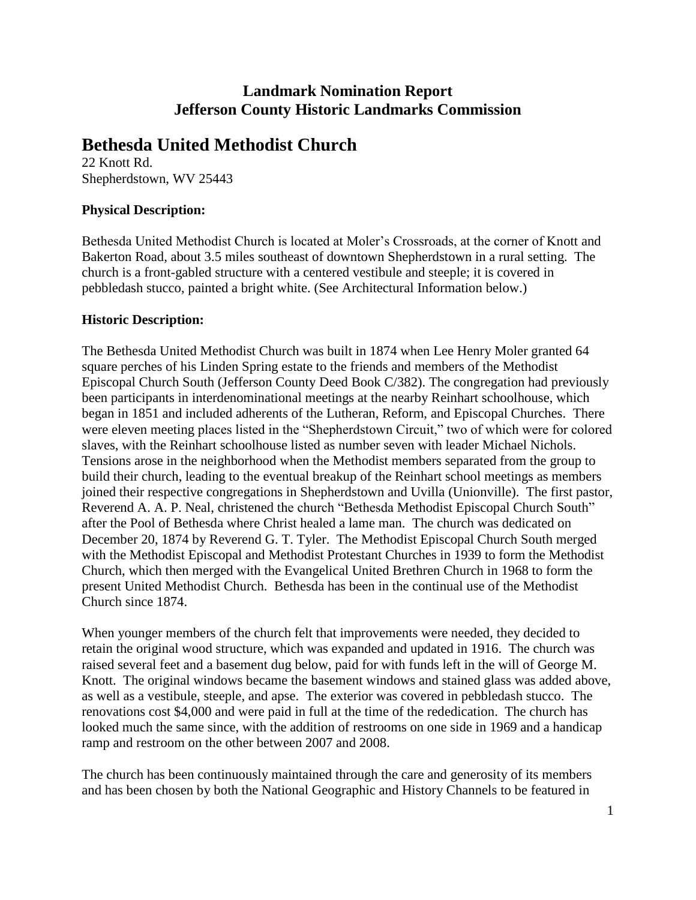# **Landmark Nomination Report Jefferson County Historic Landmarks Commission**

# **Bethesda United Methodist Church**

22 Knott Rd. Shepherdstown, WV 25443

# **Physical Description:**

Bethesda United Methodist Church is located at Moler's Crossroads, at the corner of Knott and Bakerton Road, about 3.5 miles southeast of downtown Shepherdstown in a rural setting. The church is a front-gabled structure with a centered vestibule and steeple; it is covered in pebbledash stucco, painted a bright white. (See Architectural Information below.)

## **Historic Description:**

The Bethesda United Methodist Church was built in 1874 when Lee Henry Moler granted 64 square perches of his Linden Spring estate to the friends and members of the Methodist Episcopal Church South (Jefferson County Deed Book C/382). The congregation had previously been participants in interdenominational meetings at the nearby Reinhart schoolhouse, which began in 1851 and included adherents of the Lutheran, Reform, and Episcopal Churches. There were eleven meeting places listed in the "Shepherdstown Circuit," two of which were for colored slaves, with the Reinhart schoolhouse listed as number seven with leader Michael Nichols. Tensions arose in the neighborhood when the Methodist members separated from the group to build their church, leading to the eventual breakup of the Reinhart school meetings as members joined their respective congregations in Shepherdstown and Uvilla (Unionville). The first pastor, Reverend A. A. P. Neal, christened the church "Bethesda Methodist Episcopal Church South" after the Pool of Bethesda where Christ healed a lame man. The church was dedicated on December 20, 1874 by Reverend G. T. Tyler. The Methodist Episcopal Church South merged with the Methodist Episcopal and Methodist Protestant Churches in 1939 to form the Methodist Church, which then merged with the Evangelical United Brethren Church in 1968 to form the present United Methodist Church. Bethesda has been in the continual use of the Methodist Church since 1874.

When younger members of the church felt that improvements were needed, they decided to retain the original wood structure, which was expanded and updated in 1916. The church was raised several feet and a basement dug below, paid for with funds left in the will of George M. Knott. The original windows became the basement windows and stained glass was added above, as well as a vestibule, steeple, and apse. The exterior was covered in pebbledash stucco. The renovations cost \$4,000 and were paid in full at the time of the rededication. The church has looked much the same since, with the addition of restrooms on one side in 1969 and a handicap ramp and restroom on the other between 2007 and 2008.

The church has been continuously maintained through the care and generosity of its members and has been chosen by both the National Geographic and History Channels to be featured in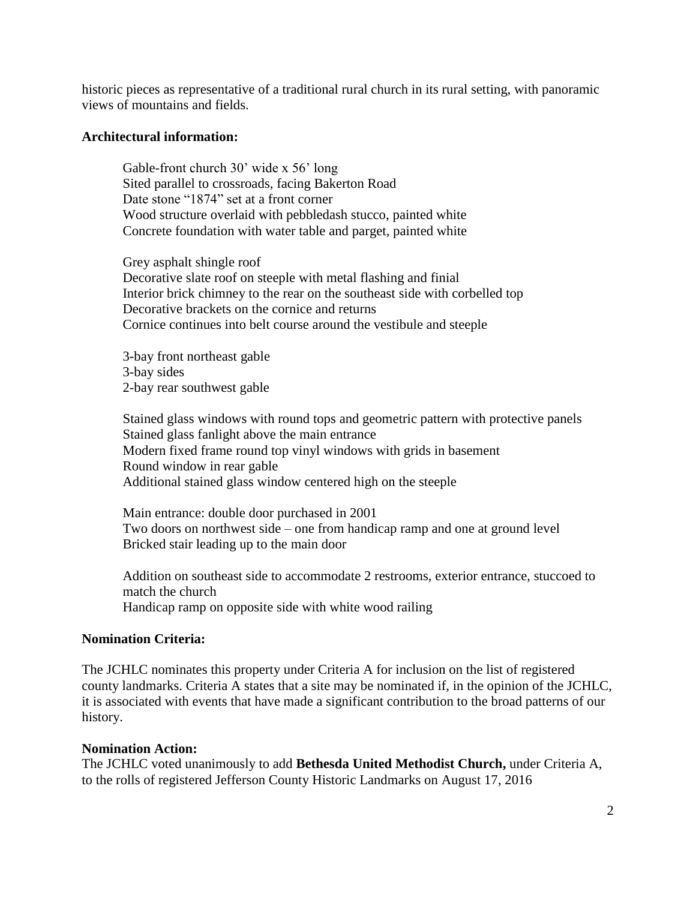historic pieces as representative of a traditional rural church in its rural setting, with panoramic views of mountains and fields.

### **Architectural information:**

Gable-front church 30' wide x 56' long Sited parallel to crossroads, facing Bakerton Road Date stone "1874" set at a front corner Wood structure overlaid with pebbledash stucco, painted white Concrete foundation with water table and parget, painted white

Grey asphalt shingle roof Decorative slate roof on steeple with metal flashing and finial Interior brick chimney to the rear on the southeast side with corbelled top Decorative brackets on the cornice and returns Cornice continues into belt course around the vestibule and steeple

3-bay front northeast gable 3-bay sides 2-bay rear southwest gable

Stained glass windows with round tops and geometric pattern with protective panels Stained glass fanlight above the main entrance Modern fixed frame round top vinyl windows with grids in basement Round window in rear gable Additional stained glass window centered high on the steeple

Main entrance: double door purchased in 2001 Two doors on northwest side – one from handicap ramp and one at ground level Bricked stair leading up to the main door

Addition on southeast side to accommodate 2 restrooms, exterior entrance, stuccoed to match the church Handicap ramp on opposite side with white wood railing

#### **Nomination Criteria:**

The JCHLC nominates this property under Criteria A for inclusion on the list of registered county landmarks. Criteria A states that a site may be nominated if, in the opinion of the JCHLC, it is associated with events that have made a significant contribution to the broad patterns of our history.

#### **Nomination Action:**

The JCHLC voted unanimously to add **Bethesda United Methodist Church,** under Criteria A, to the rolls of registered Jefferson County Historic Landmarks on August 17, 2016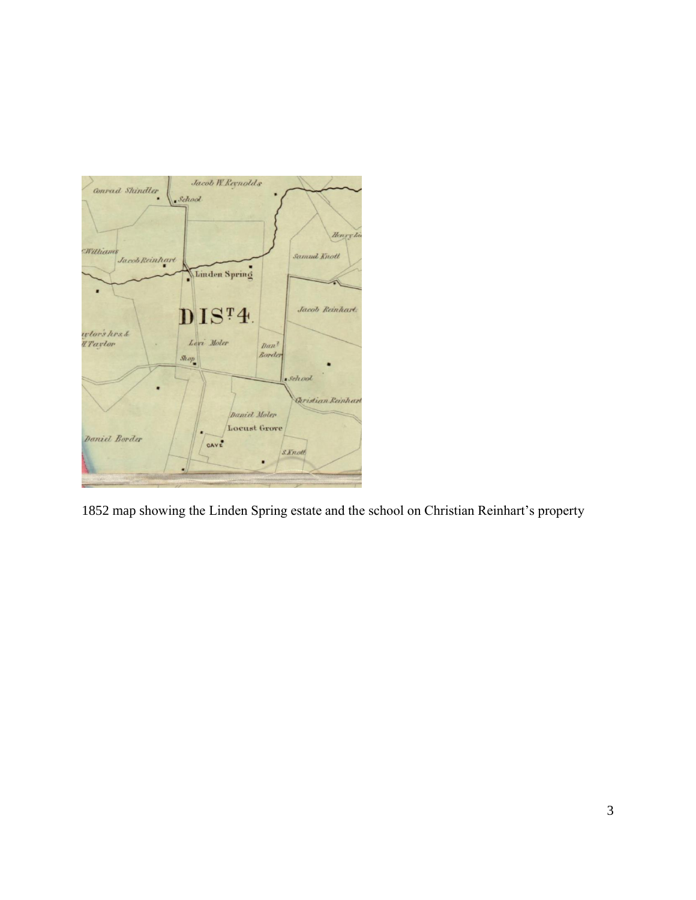

1852 map showing the Linden Spring estate and the school on Christian Reinhart's property